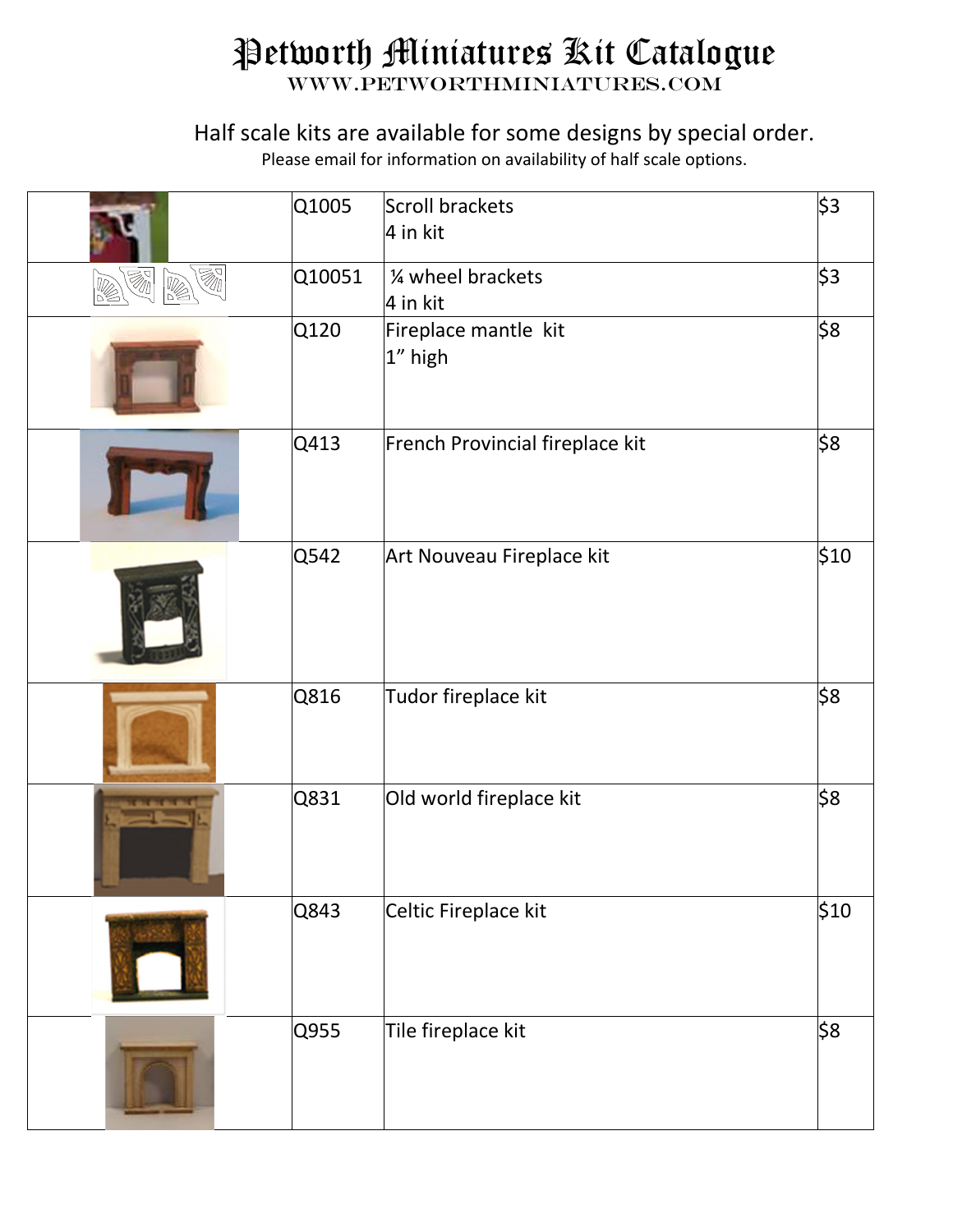## Petworth Miniatures Kit Catalogue

www.petworthminiatures.com

## Half scale kits are available for some designs by special order.

Please email for information on availability of half scale options.

|                                                          | Q1005  | Scroll brackets<br>4 in kit     | \$3  |
|----------------------------------------------------------|--------|---------------------------------|------|
| $\overline{\mathbb{Z}}$<br>Ø1<br>$\overline{\mathbb{Z}}$ | Q10051 | 1⁄4 wheel brackets<br>4 in kit  | \$3  |
|                                                          | Q120   | Fireplace mantle kit<br>1" high | \$8  |
|                                                          | Q413   | French Provincial fireplace kit | \$8  |
|                                                          | Q542   | Art Nouveau Fireplace kit       | \$10 |
|                                                          | Q816   | Tudor fireplace kit             | \$8  |
|                                                          | Q831   | Old world fireplace kit         | \$8  |
|                                                          | Q843   | Celtic Fireplace kit            | \$10 |
|                                                          | Q955   | Tile fireplace kit              | \$8  |